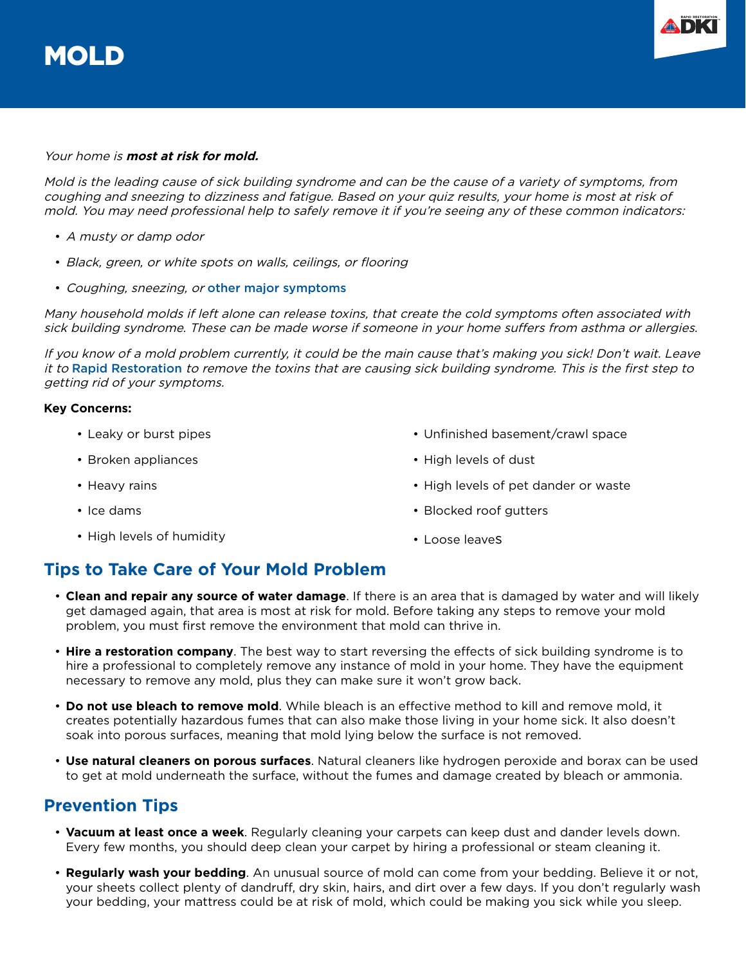

#### Your home is **most at risk for mold.**

Mold is the leading cause of sick building syndrome and can be the cause of a variety of symptoms, from coughing and sneezing to dizziness and fatigue. Based on your quiz results, your home is most at risk of mold. You may need professional help to safely remove it if you're seeing any of these common indicators:

- A musty or damp odor
- Black, green, or white spots on walls, ceilings, or flooring
- Coughing, sneezing, or [other major symptoms](https://www.rapidrestorationmn.com/2019/02/18/how-to-prevent-sick-building-syndrome/)

Many household molds if left alone can release toxins, that create the cold symptoms often associated with sick building syndrome. These can be made worse if someone in your home suffers from asthma or allergies.

If you know of a mold problem currently, it could be the main cause that's making you sick! Don't wait. Leave it to [Rapid Restoration](https://www.rapidrestorationmn.com/) to remove the toxins that are causing sick building syndrome. This is the first step to getting rid of your symptoms.

#### **Key Concerns:**

- Leaky or burst pipes
- Broken appliances
- Heavy rains
- Ice dams
- High levels of humidity
- Unfinished basement/crawl space
- High levels of dust
- High levels of pet dander or waste
- Blocked roof gutters
- Loose leaves

# **Tips to Take Care of Your Mold Problem**

- **Clean and repair any source of water damage**. If there is an area that is damaged by water and will likely get damaged again, that area is most at risk for mold. Before taking any steps to remove your mold problem, you must first remove the environment that mold can thrive in.
- **Hire a restoration company**. The best way to start reversing the effects of sick building syndrome is to hire a professional to completely remove any instance of mold in your home. They have the equipment necessary to remove any mold, plus they can make sure it won't grow back.
- **Do not use bleach to remove mold**. While bleach is an effective method to kill and remove mold, it creates potentially hazardous fumes that can also make those living in your home sick. It also doesn't soak into porous surfaces, meaning that mold lying below the surface is not removed.
- **Use natural cleaners on porous surfaces**. Natural cleaners like hydrogen peroxide and borax can be used to get at mold underneath the surface, without the fumes and damage created by bleach or ammonia.

# **Prevention Tips**

- **Vacuum at least once a week**. Regularly cleaning your carpets can keep dust and dander levels down. Every few months, you should deep clean your carpet by hiring a professional or steam cleaning it.
- **Regularly wash your bedding**. An unusual source of mold can come from your bedding. Believe it or not, your sheets collect plenty of dandruff, dry skin, hairs, and dirt over a few days. If you don't regularly wash your bedding, your mattress could be at risk of mold, which could be making you sick while you sleep.